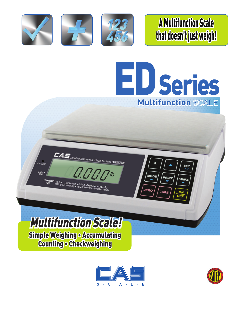

A Multifunction Scale that doesn't just weigh!

SE<sub>7</sub>

SAMPI<sub>F</sub>

**MODE** 

ZERO

PRINT

TARE



Multifunction Scale! Simple Weighing • Accumulating Counting • Checkweighing

15/b x 0.005/b/30/b x 0.01/b, 6 kg x<br>000g x 2g/15000g x 5g, 20002 x 0,1

**CHARCA** 

**LACKO** 

 $\textbf{Z}\textbf{A}\textbf{S}_{\textit{Counting feature is not legal for trade (MODEL-ED)}}$